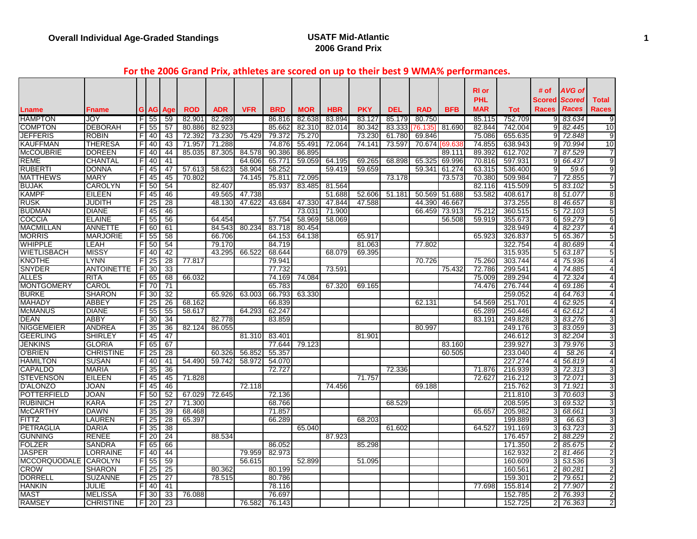#### **For the 2006 Grand Prix, athletes are scored on up to their best 9 WMA% performances.**

|                         |                     |                |                 |                        |                      |            |            |                      |                      |                      |            |            |                      |               | <b>RI</b> or |            | # of           | <b>AVG of</b>        |                         |
|-------------------------|---------------------|----------------|-----------------|------------------------|----------------------|------------|------------|----------------------|----------------------|----------------------|------------|------------|----------------------|---------------|--------------|------------|----------------|----------------------|-------------------------|
|                         |                     |                |                 |                        |                      |            |            |                      |                      |                      |            |            |                      |               | <b>PHL</b>   |            |                | Scored <i>Scored</i> | <b>Total</b>            |
|                         |                     |                |                 |                        |                      | <b>ADR</b> |            |                      |                      |                      | <b>PKY</b> | <b>DEL</b> |                      | <b>BFB</b>    | <b>MAR</b>   | <b>Tot</b> | Races          | <b>Races</b>         | <b>Races</b>            |
| Lname<br><b>HAMPTON</b> | <b>Fname</b><br>JOY |                | F155            | <b>G</b> AG Age<br>-59 | <b>ROD</b><br>82.901 | 82.289     | <b>VFR</b> | <b>BRD</b><br>86.816 | <b>MOR</b><br>82.638 | <b>HBR</b><br>83.894 | 83.127     | 85.179     | <b>RAD</b><br>80.750 |               | 85.115       | 752.709    |                | 9 83.634             | -9                      |
| <b>COMPTON</b>          | <b>DEBORAH</b>      | F              | $\overline{55}$ | $\overline{57}$        | 80.886               | 82.923     |            | 85.662               | 82.310               | 82.014               | 80.342     | 83.333     | 76.135               | 81.690        | 82.844       | 742.004    | 91             | 82.445               | 10                      |
| JEFFERIS                | <b>ROBIN</b>        | F              | 40              | 43                     | 72.392               | 73.230     | 75.429     | 79.372               | 75.270               |                      | 73.230     | 61.780     | 69.846               |               | 75.086       | 655.635    | 9              | 72.848               | 9                       |
| <b>KAUFFMAN</b>         | <b>THERESA</b>      | F.             | 40              | 43                     | 71.957               | 71.288     |            | 74.876               | 55.491               | 72.064               | 74.141     | 73.597     |                      | 70.674 69.638 | 74.855       | 638.943    | 91             | 70.994               | 10                      |
| <b>McCOUBRIE</b>        | <b>DOREEN</b>       | F              | 40              | 44                     | 85.035               | 87.305     | 84.578     | 90.386               | 86.895               |                      |            |            |                      | 89.111        | 89.392       | 612.702    |                | 87.529               | 7                       |
| <b>REME</b>             | CHANTAL             | F              | 40              | 41                     |                      |            | 64.606     | 65.771               | 59.059               | 64.195               | 69.265     | 68.898     | 65.325               | 69.996        | 70.816       | 597.93     | 9              | 66.437               | 9                       |
| <b>RUBERTI</b>          | <b>DONNA</b>        | F              | 45              | 47                     | 57.613               | 58.623     | 58.904     | 58.252               |                      | 59.419               | 59.659     |            | 59.341               | 61.274        | 63.315       | 536.400    | 9 <sub>l</sub> | 59.6                 | 9                       |
| <b>MATTHEWS</b>         | <b>MARY</b>         | F              | 45              | 45                     | 70.802               |            | 74.145     | 75.811               | 72.095               |                      |            | 73.178     |                      | 73.573        | 70.380       | 509.984    | 71             | 72.855               | 7                       |
| <b>BUJAK</b>            | <b>CAROLYN</b>      |                | F 50            | 54                     |                      | 82.407     |            | 85.937               | 83.485               | 81.564               |            |            |                      |               | 82.116       | 415.509    |                | 5 83.102             | 5                       |
| <b>KAMPF</b>            | <b>EILEEN</b>       | $\blacksquare$ | 45              | 46                     |                      | 49.565     | 47.738     |                      |                      | 51.688               | 52.606     | 51.181     |                      | 50.569 51.688 | 53.582       | 408.617    |                | 8 51.077             | 8                       |
| <b>RUSK</b>             | JUDITH              | F              | 25              | $\overline{28}$        |                      | 48.130     | 47.622     | 43.684               | 47.330               | 47.844               | 47.588     |            | 44.390               | 46.667        |              | 373.255    |                | 8 46.657             | 8                       |
| <b>BUDMAN</b>           | <b>DIANE</b>        | F              | 45              | 46                     |                      |            |            |                      | 73.031               | 71.900               |            |            | 66.459               | 73.913        | 75.212       | 360.515    | 5 <sup>1</sup> | 72.103               | 5                       |
| <b>COCCIA</b>           | <b>ELAINE</b>       | F              | 55              | 56                     |                      | 64.454     |            | 57.754               | 58.969               | 58.069               |            |            |                      | 56.508        | 59.919       | 355.673    | 61             | 59.279               | 6                       |
| <b>MACMILLAN</b>        | <b>ANNETTE</b>      |                | F 60            | 61                     |                      | 84.543     | 80.234     | 83.718               | 80.454               |                      |            |            |                      |               |              | 328.949    | $\overline{4}$ | 82.237               | $\overline{4}$          |
| <b>MORRIS</b>           | <b>MARJORIE</b>     | F              | -55             | 58                     |                      | 66.706     |            | 64.153               | 64.138               |                      | 65.917     |            |                      |               | 65.923       | 326.837    | $5 \mid$       | 65.367               | 5                       |
| <b>WHIPPLE</b>          | LEAH                | F              | 50              | 54                     |                      | 79.170     |            | 84.719               |                      |                      | 81.063     |            | 77.802               |               |              | 322.754    | $\overline{4}$ | 80.689               | $\overline{4}$          |
| <b>WIETLISBACH</b>      | <b>MISSY</b>        | F              | 40              | 42                     |                      | 43.295     | 66.522     | 68.644               |                      | 68.079               | 69.395     |            |                      |               |              | 315.935    | 51             | 63.187               | 5                       |
| <b>KNOTHE</b>           | LYNN                | F.             | $\overline{25}$ | 28                     | 77.817               |            |            | 79.941               |                      |                      |            |            | 70.726               |               | 75.260       | 303.744    | 4 <sup>1</sup> | 75.936               | $\overline{4}$          |
| <b>SNYDER</b>           | <b>ANTOINETTE</b>   | I FI           | 30              | 33                     |                      |            |            | 77.732               |                      | 73.591               |            |            |                      | 75.432        | 72.786       | 299.54     | 41             | 74.885               | 4                       |
| <b>ALLES</b>            | <b>RITA</b>         |                | F 65            | 68                     | 66.032               |            |            | 74.169               | 74.084               |                      |            |            |                      |               | 75.009       | 289.294    | 4 <sup>1</sup> | 72.324               | $\overline{4}$          |
| <b>MONTGOMERY</b>       | <b>CAROL</b>        | FI             | 70              | 71                     |                      |            |            | 65.783               |                      | 67.320               | 69.165     |            |                      |               | 74.476       | 276.744    | 4 <sup>1</sup> | 69.186               | $\overline{4}$          |
| <b>BURKE</b>            | <b>SHARON</b>       | F              | 30              | $\overline{32}$        |                      | 65.926     | 63.003     | 66.793               | 63.330               |                      |            |            |                      |               |              | 259.052    | 41             | 64.763               | $\overline{4}$          |
| <b>MAHADY</b>           | ABBEY               | F              | 25              | 26                     | 68.162               |            |            | 66.839               |                      |                      |            |            | 62.131               |               | 54.569       | 251.701    | $\overline{4}$ | 62.925               | $\overline{\mathbf{4}}$ |
| <b>McMANUS</b>          | <b>DIANE</b>        | F              | -55             | 55                     | 58.617               |            | 64.293     | 62.247               |                      |                      |            |            |                      |               | 65.289       | 250.446    | $\overline{4}$ | 62.612               | $\overline{4}$          |
| <b>DEAN</b>             | ABBY                | F              | 30              | $\overline{34}$        |                      | 82.778     |            | 83.859               |                      |                      |            |            |                      |               | 83.191       | 249.828    | 3I             | 83.276               | 3                       |
| <b>NIGGEMEIER</b>       | <b>ANDREA</b>       | F              | 35              | 36                     | 82.124               | 86.055     |            |                      |                      |                      |            |            | 80.997               |               |              | 249.176    | 3I             | 83.059               | 3                       |
| <b>GEERLING</b>         | <b>SHIRLEY</b>      | F              | 45              | 47                     |                      |            | 81.310     | 83.401               |                      |                      | 81.901     |            |                      |               |              | 246.612    | 31             | 82.204               | 3                       |
| <b>JENKINS</b>          | <b>GLORIA</b>       | П              | 65              | 67                     |                      |            |            | 77.644               | 79.123               |                      |            |            |                      | 83.160        |              | 239.927    | 31             | 79.976               | 3                       |
| <b>O'BRIEN</b>          | <b>CHRISTINE</b>    |                | $F$ 25          | 28                     |                      | 60.326     | 56.852     | 55.357               |                      |                      |            |            |                      | 60.505        |              | 233.040    | $\overline{4}$ | 58.26                | $\overline{4}$          |
| <b>HAMILTON</b>         | <b>SUSAN</b>        | F              | 40              | 41                     | 54.490               | 59.742     | 58.972     | 54.070               |                      |                      |            |            |                      |               |              | 227.274    | $\overline{4}$ | 56.819               | $\overline{4}$          |
| <b>CAPALDO</b>          | <b>MARIA</b>        | FI             | 35              | $\overline{36}$        |                      |            |            | 72.727               |                      |                      |            | 72.336     |                      |               | 71.876       | 216.939    |                | 3 72.313             | 3                       |
| <b>STEVENSON</b>        | <b>EILEEN</b>       | F              | 45              | 45                     | 71.828               |            |            |                      |                      |                      | 71.757     |            |                      |               | 72.627       | 216.212    |                | 3 72.071             | 3                       |
| <b>D'ALONZO</b>         | <b>JOAN</b>         | F              | 45              | 46                     |                      |            | 72.118     |                      |                      | 74.456               |            |            | 69.188               |               |              | 215.762    |                | 3 71.921             | 3                       |
| <b>POTTERFIELD</b>      | <b>JOAN</b>         | F              | 50              | 52                     | 67.029               | 72.645     |            | 72.136               |                      |                      |            |            |                      |               |              | 211.810    | 3 <sup>l</sup> | 70.603               | 3                       |
| <b>RUBINICH</b>         | <b>KARA</b>         | F              | 25              | 27                     | 71.300               |            |            | 68.766               |                      |                      |            | 68.529     |                      |               |              | 208.595    | зI             | 69.532               | 3                       |
| <b>McCARTHY</b>         | <b>DAWN</b>         | F              | 35              | $\overline{39}$        | 68.468               |            |            | 71.857               |                      |                      |            |            |                      |               | 65.657       | 205.982    | 3I             | 68.661               | 3                       |
| <b>FITTZ</b>            | LAUREN              | F              | 25              | 28                     | 65.397               |            |            | 66.289               |                      |                      | 68.203     |            |                      |               |              | 199.889    | 3              | 66.63                | 3                       |
| PETRAGLIA               | <b>DARIA</b>        | F.             | 35              | $\overline{38}$        |                      |            |            |                      | 65.040               |                      |            | 61.602     |                      |               | 64.527       | 191.169    | 31             | 63.723               | 3                       |
| <b>GUNNING</b>          | <b>RENEE</b>        | F              | -20             | $\overline{24}$        |                      | 88.534     |            |                      |                      | 87.923               |            |            |                      |               |              | 176.457    | 2١             | 88.229               | $\overline{2}$          |
| <b>FOLZER</b>           | <b>SANDRA</b>       | F.             | 65              | 66                     |                      |            |            | 86.052               |                      |                      | 85.298     |            |                      |               |              | 171.350    | 21             | 85.675               | $\overline{2}$          |
| JASPER                  | LORRAINE            | F              | 40              | 44                     |                      |            | 79.959     | 82.973               |                      |                      |            |            |                      |               |              | 162.932    | 21             | 81.466               | 2                       |
| <b>MCCORQUODALE</b>     | <b>CAROLYN</b>      |                | $F$ 55          | 59                     |                      |            | 56.615     |                      | 52.899               |                      | 51.095     |            |                      |               |              | 160.609    |                | 3 53.536             | 3                       |
| <b>CROW</b>             | <b>SHARON</b>       | F              | $\overline{25}$ | $\overline{25}$        |                      | 80.362     |            | 80.199               |                      |                      |            |            |                      |               |              | 160.561    |                | 2 80.281             | $\overline{2}$          |
| <b>DORRELL</b>          | <b>SUZANNE</b>      | F              | 25              | $\overline{27}$        |                      | 78.515     |            | 80.786               |                      |                      |            |            |                      |               |              | 159.30     | 21             | 79.651               | $\overline{2}$          |
| <b>HANKIN</b>           | JULIE               | F              | 40              | 41                     |                      |            |            | 78.116               |                      |                      |            |            |                      |               | 77.698       | 155.814    |                | 2 77.907             | $\overline{2}$          |
| <b>MAST</b>             | <b>MELISSA</b>      | F              | 30              | $\overline{33}$        | 76.088               |            |            | 76.697               |                      |                      |            |            |                      |               |              | 152.785    | 2 <sup>1</sup> | 76.393               | $\overline{2}$          |
| <b>RAMSEY</b>           | <b>CHRISTINE</b>    |                | F 20            | 23                     |                      |            | 76.582     | 76.143               |                      |                      |            |            |                      |               |              | 152.725    |                | 2 76.363             | $\overline{2}$          |
|                         |                     |                |                 |                        |                      |            |            |                      |                      |                      |            |            |                      |               |              |            |                |                      |                         |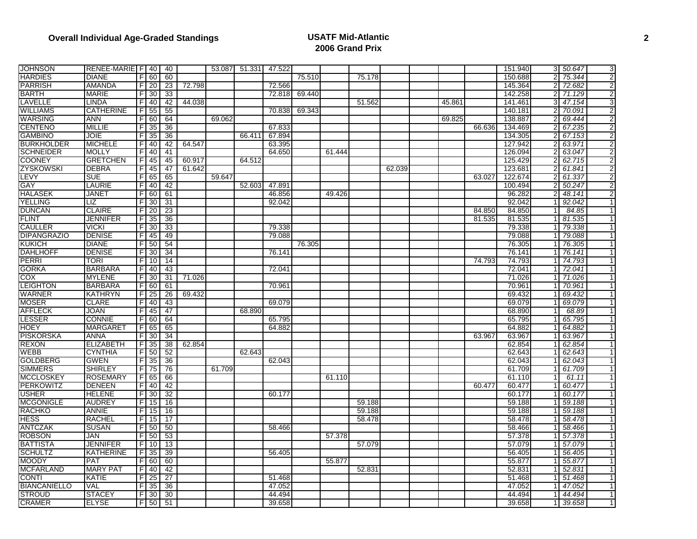| <b>JOHNSON</b>      | RENEE-MARIE F   40 |                |                 | 40              |        |        | 53.087 51.331 47.522 |        |        |        |        |        |        |        | 151.940 | 3 50.647 | 3              |
|---------------------|--------------------|----------------|-----------------|-----------------|--------|--------|----------------------|--------|--------|--------|--------|--------|--------|--------|---------|----------|----------------|
| <b>HARDIES</b>      | DIANE              |                | F 60            | 60              |        |        |                      |        | 75.510 |        | 75.178 |        |        |        | 150.688 | 75.344   | 2              |
| <b>PARRISH</b>      | <b>AMANDA</b>      | F              | 20              | 23              | 72.798 |        |                      | 72.566 |        |        |        |        |        |        | 145.364 | 72.682   | 2              |
| <b>BARTH</b>        | <b>MARIE</b>       | F              | 30              | 33              |        |        |                      | 72.818 | 69.440 |        |        |        |        |        | 142.258 | 71.129   | $\overline{2}$ |
| LAVELLE             | LINDA              | F              | 40              | 42              | 44.038 |        |                      |        |        |        | 51.562 |        | 45.861 |        | 141.461 | 47.154   | 3              |
| <b>WILLIAMS</b>     | <b>CATHERINE</b>   | F              | 55              | 55              |        |        |                      | 70.838 | 69.343 |        |        |        |        |        | 140.181 | 70.091   | $\overline{2}$ |
| <b>WARSING</b>      | ANN                | F              | 60              | 64              |        | 69.062 |                      |        |        |        |        |        | 69.825 |        | 138.887 | 69.444   | $\overline{2}$ |
| <b>CENTENO</b>      | <b>MILLIE</b>      | F.             | 35              | 36              |        |        |                      | 67.833 |        |        |        |        |        | 66.636 | 134.469 | 67.235   | 2              |
| <b>GAMBINO</b>      | JOIE               | $\mathsf{F}$   | 35              | 36              |        |        | 66.411               | 67.894 |        |        |        |        |        |        | 134.305 | 67.153   | $\overline{2}$ |
| <b>BURKHOLDER</b>   | <b>MICHELE</b>     | F              | 40              | 42              | 64.547 |        |                      | 63.395 |        |        |        |        |        |        | 127.942 | 63.971   | $\overline{2}$ |
| <b>SCHNEIDER</b>    | <b>MOLLY</b>       | F              | 40              | 41              |        |        |                      | 64.650 |        | 61.444 |        |        |        |        | 126.094 | 63.047   | $\overline{c}$ |
| <b>COONEY</b>       | GRETCHEN           | F              | 45              | 45              | 60.917 |        | 64.512               |        |        |        |        |        |        |        | 125.429 | 62.715   | 2              |
| <b>ZYSKOWSKI</b>    | <b>DEBRA</b>       | F              | 45              | 47              | 61.642 |        |                      |        |        |        |        | 62.039 |        |        | 123.68  | 61.841   | 2              |
| LEVY                | <b>SUE</b>         | $\overline{F}$ | 65              | 65              |        | 59.647 |                      |        |        |        |        |        |        | 63.027 | 122.674 | 61.337   | $\overline{2}$ |
| GAY                 | LAURIE             | F              | 40              | 42              |        |        | 52.603               | 47.891 |        |        |        |        |        |        | 100.494 | 50.247   | $\overline{2}$ |
| <b>HALASEK</b>      | JANET              | FI             | 60              | 61              |        |        |                      | 46.856 |        | 49.426 |        |        |        |        | 96.282  | 48.141   | 2              |
| <b>YELLING</b>      | LIZ                | F              | 30              | 31              |        |        |                      | 92.042 |        |        |        |        |        |        | 92.042  | 92.042   | $\mathbf{1}$   |
| <b>DUNCAN</b>       | <b>CLAIRE</b>      | - Fl           | -20             | $\overline{23}$ |        |        |                      |        |        |        |        |        |        | 84.850 | 84.850  | 84.85    | $\mathbf{1}$   |
| <b>FLINT</b>        | JENNIFER           | F.             | 35              | 36              |        |        |                      |        |        |        |        |        |        | 81.535 | 81.535  | 81.535   | $\mathbf 1$    |
| <b>CAULLER</b>      | VICKI              | F              | 30              | 33              |        |        |                      | 79.338 |        |        |        |        |        |        | 79.338  | 79.338   | $\overline{1}$ |
| <b>DIPANGRAZIO</b>  | DENISE             | F              | 45              | 49              |        |        |                      | 79.088 |        |        |        |        |        |        | 79.088  | 79.088   | $\mathbf{1}$   |
| <b>KUKICH</b>       | <b>DIANE</b>       | F)             | 50              | 54              |        |        |                      |        | 76.305 |        |        |        |        |        | 76.305  | 76.305   | $\mathbf{1}$   |
| <b>DAHLHOFF</b>     | <b>DENISE</b>      | FI             | -30             | 34              |        |        |                      | 76.141 |        |        |        |        |        |        | 76.141  | 76.141   | $\mathbf{1}$   |
| <b>PERRI</b>        | TORI               | F              | 10              | 14              |        |        |                      |        |        |        |        |        |        | 74.793 | 74.793  | 74.793   | $\mathbf{1}$   |
| <b>GORKA</b>        | <b>BARBARA</b>     | F              | 40              | 43              |        |        |                      | 72.041 |        |        |        |        |        |        | 72.041  | 72.041   | $\mathbf{1}$   |
| COX                 | <b>MYLENE</b>      | $\overline{r}$ | $\overline{30}$ | $\overline{31}$ | 71.026 |        |                      |        |        |        |        |        |        |        | 71.026  | 71.026   | $\mathbf{1}$   |
| <b>LEIGHTON</b>     | BARBARA            |                | $F$ 60          | 61              |        |        |                      | 70.961 |        |        |        |        |        |        | 70.961  | 70.961   | $\mathbf{1}$   |
| <b>WARNER</b>       | KATHRYN            | FI             | 25              | 26              | 69.432 |        |                      |        |        |        |        |        |        |        | 69.432  | 69.432   | $\mathbf{1}$   |
| <b>MOSER</b>        | <b>CLARE</b>       | FI             | 40              | 43              |        |        |                      | 69.079 |        |        |        |        |        |        | 69.079  | 69.079   | 1              |
| <b>AFFLECK</b>      | JOAN               | F              | 45              | 47              |        |        | 68.890               |        |        |        |        |        |        |        | 68.890  | 68.89    | $\mathbf{1}$   |
| <b>LESSER</b>       | CONNIE             | $\overline{F}$ | 60              | 64              |        |        |                      | 65.795 |        |        |        |        |        |        | 65.795  | 65.795   | $\mathbf{1}$   |
| <b>HOEY</b>         | MARGARET           | F              | 65              | 65              |        |        |                      | 64.882 |        |        |        |        |        |        | 64.882  | 64.882   | $\mathbf{1}$   |
| <b>PISKORSKA</b>    | <b>ANNA</b>        | F)             | 30              | 34              |        |        |                      |        |        |        |        |        |        | 63.967 | 63.967  | 63.967   | $\mathbf{1}$   |
| <b>REXON</b>        | ELIZABETH          | F              | 35              | $\overline{38}$ | 62.854 |        |                      |        |        |        |        |        |        |        | 62.854  | 62.854   | 1              |
| <b>WEBB</b>         | <b>CYNTHIA</b>     | - Fl           | 50              | 52              |        |        | 62.643               |        |        |        |        |        |        |        | 62.643  | 62.643   | $\mathbf{1}$   |
| <b>GOLDBERG</b>     | <b>GWEN</b>        | F.             | 35              | 36              |        |        |                      | 62.043 |        |        |        |        |        |        | 62.043  | 62.043   | $\mathbf 1$    |
| <b>SIMMERS</b>      | <b>SHIRLEY</b>     | F              | $\overline{75}$ | $\overline{76}$ |        | 61.709 |                      |        |        |        |        |        |        |        | 61.709  | 61.709   | $\overline{1}$ |
| <b>MCCLOSKEY</b>    | <b>ROSEMARY</b>    |                | $F$ 65          | 66              |        |        |                      |        |        | 61.110 |        |        |        |        | 61.110  | 61.11    | $\mathbf{1}$   |
| PERKOWITZ           | <b>DENEEN</b>      | F              | 40              | 42              |        |        |                      |        |        |        |        |        |        | 60.477 | 60.477  | 60.477   | $\mathbf{1}$   |
| <b>USHER</b>        | <b>HELENE</b>      | FI             | 30              | 32              |        |        |                      | 60.177 |        |        |        |        |        |        | 60.177  | 60.177   | $\mathbf{1}$   |
| <b>MCGONIGLE</b>    | <b>AUDREY</b>      | F              | 15              | 16              |        |        |                      |        |        |        | 59.188 |        |        |        | 59.188  | 59.188   | $\mathbf 1$    |
| <b>RACHKO</b>       | <b>ANNIE</b>       | F              | 15              | 16              |        |        |                      |        |        |        | 59.188 |        |        |        | 59.188  | 59.188   | $\mathbf{1}$   |
| <b>HESS</b>         | RACHEL             | $\overline{F}$ | 15              | $\overline{17}$ |        |        |                      |        |        |        | 58.478 |        |        |        | 58.478  | 58.478   | $\mathbf{1}$   |
| <b>ANTCZAK</b>      | SUSAN              | F              | 50              | 50              |        |        |                      | 58.466 |        |        |        |        |        |        | 58.466  | 58.466   | $\mathbf 1$    |
| <b>ROBSON</b>       | JAN                | F              | 50              | 53              |        |        |                      |        |        | 57.378 |        |        |        |        | 57.378  | 57.378   | $\mathbf{1}$   |
| <b>BATTISTA</b>     | JENNIFER           | F              | 10              | 13              |        |        |                      |        |        |        | 57.079 |        |        |        | 57.079  | 57.079   | $\mathbf{1}$   |
| <b>SCHULTZ</b>      | <b>KATHERINE</b>   | F.             | 35              | 39              |        |        |                      | 56.405 |        |        |        |        |        |        | 56.405  | 56.405   | $\mathbf{1}$   |
| <b>MOODY</b>        | PAT                | F              | 60              | 60              |        |        |                      |        |        | 55.877 |        |        |        |        | 55.877  | 55.877   | $\overline{1}$ |
| <b>MCFARLAND</b>    | <b>MARY PAT</b>    | F              | 40              | 42              |        |        |                      |        |        |        | 52.831 |        |        |        | 52.831  | 52.831   | $\mathbf{1}$   |
| <b>CONTI</b>        | KATIE              | F.             | 25              | 27              |        |        |                      | 51.468 |        |        |        |        |        |        | 51.468  | 51.468   | $\mathbf{1}$   |
| <b>BIANCANIELLO</b> | VAL                | F              | 35              | 36              |        |        |                      | 47.052 |        |        |        |        |        |        | 47.052  | 47.052   | 1              |
| <b>STROUD</b>       | STACEY             | F              | 30              | 30              |        |        |                      | 44.494 |        |        |        |        |        |        | 44.494  | 44.494   | $\mathbf{1}$   |
| <b>CRAMER</b>       | ELYSE              |                |                 | $F$ 50 51       |        |        |                      | 39.658 |        |        |        |        |        |        | 39.658  | 39.658   | $\mathbf{1}$   |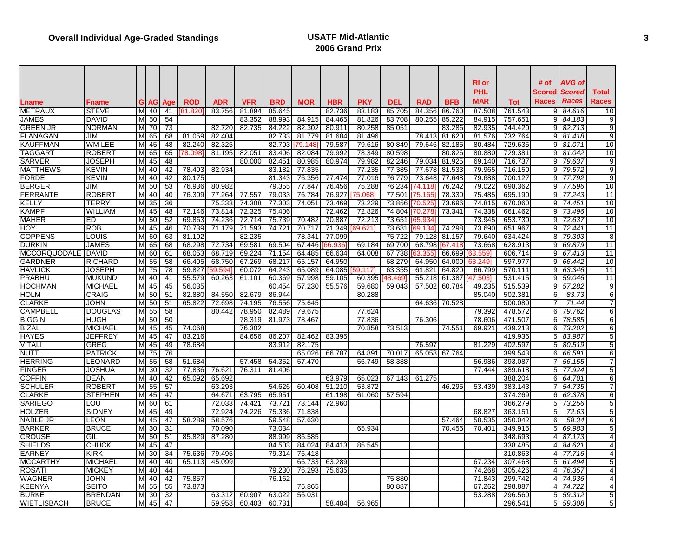|                                 |                       |    |                           |                 |            |                  |                  |                  |                  |            |            |            |            |               | RI or<br><b>PHL</b> |                    | # of<br>Scored   | AVG of<br><b>Scored</b> | <b>Total</b>    |
|---------------------------------|-----------------------|----|---------------------------|-----------------|------------|------------------|------------------|------------------|------------------|------------|------------|------------|------------|---------------|---------------------|--------------------|------------------|-------------------------|-----------------|
| Lname                           | Fname                 | GI | <b>AG</b>                 | Aae             | <b>ROD</b> | <b>ADR</b>       | <b>VFR</b>       | <b>BRD</b>       | <b>MOR</b>       | <b>HBR</b> | <b>PKY</b> | <b>DEL</b> | <b>RAD</b> | <b>BFB</b>    | MAR                 | <b>Tot</b>         | Races            | <b>Races</b>            | Races           |
| <b>METRAUX</b>                  | <b>STEVE</b>          |    | M 40                      | -41             | 181.820    | 83.756           | 81.894           | 85.645           |                  | 82.736     | 83.183     | 85.705     | 84.356     | 86.760        | 87.508              | 761.543            |                  | 9 84.616                | 10              |
| <b>JAMES</b>                    | <b>DAVID</b>          |    | M 50                      | 54              |            |                  | 83.352           | 88.993           | 84.915           | 84.465     | 81.826     | 83.708     | 80.255     | 85.222        | 84.915              | 757.65             | 91               | 84.183                  | 9               |
| <b>GREEN JR</b>                 | <b>NORMAN</b>         |    | M 70                      | $\overline{73}$ |            | 82.720           | 82.735           | 84.222           | 82.302           | 80.911     | 80.258     | 85.051     |            | 83.286        | 82.935              | 744.420            | 9                | 82.713                  | 9               |
| <b>FLANAGAN</b>                 | JIM                   |    | M 65                      | 68              | 81.059     | 82.404           |                  | 82.733           | 81.779           | 81.684     | 81.496     |            | 78.413     | 81.620        | 81.576              | 732.764            | 9                | 81.418                  | 9               |
| <b>KAUFFMAN</b>                 | WM LEE                |    | M 45                      | 48              | 82.240     | 82.325           |                  | 82.703           | 79.148           | 79.587     | 79.616     | 80.849     | 79.646     | 82.185        | 80.484              | 729.635            | a                | 81.071                  | 10              |
| <b>TAGGART</b>                  | <b>ROBERT</b>         |    | M 65                      | 65              | 78.098     | 81.195           | 82.051           | 83.406           | 82.084           | 79.992     | 78.349     | 80.598     |            | 80.826        | 80.880              | 729.38             | 9                | 81.042                  | 10              |
| <b>SARVER</b>                   | <b>JOSEPH</b>         |    | M 45                      | 48              |            |                  | 80.000           | 82.451           | 80.985           | 80.974     | 79.982     | 82.246     | 79.034     | 81.925        | 69.140              | 716.737            | 91               | 79.637                  | 9               |
| <b>MATTHEWS</b>                 | <b>KEVIN</b>          |    | M 40                      | 42              | 78.403     | 82.934           |                  | 83.182           | 77.835           |            | 77.235     | 77.385     | 77.678     | 81.533        | 79.965              | 716.150            | 9                | 79.572                  | 9               |
| <b>FORDE</b>                    | <b>KEVIN</b>          |    | M 40                      | 42              | 80.175     |                  |                  | 81.343           | 76.356           | 77.474     | 77.016     | 76.779     | 73.648     | 77.648        | 79.688              | 700.127            | 91               | 77.792                  | 9               |
| <b>BERGER</b>                   | JIM                   |    | M 50                      | 53              | 76.936     | 80.982           |                  | 79.355           | 77.847           | 76.456     | 75.288     | 76.234     | 74.118     | 76.242        | 79.022              | 698.362            | 91               | 77.596                  | 10              |
| <b>FERRANTE</b>                 | <b>ROBERT</b>         |    | M 40                      | 40              | 76.309     | 77.264           | 77.557           | 79.033           | 76.784           | 76.927     | 75.0681    | 77.501     | 75.165     | 78.330        | 75.485              | 695.190            | ΩI               | 77.243                  | 11              |
| KELLY                           | TERRY                 | M  | 35                        | 36              |            | 75.333           | 74.308           | 77.303           | 74.051           | 73.469     | 73.229     | 73.856     | 70.525     | 73.696        | 74.815              | 670.060            | 91               | 74.451                  | 10              |
| <b>KAMPF</b>                    | <b>WILLIAM</b>        |    | $\overline{M}$ 45         | 48              | 72.146     | 73.814           | 72.325           | 75.406           |                  | 72.462     | 72.826     | 74.804     | 70.278     | 73.341        | 74.338              | 661.462            | 91               | 73.496                  | 10              |
| <b>MAHER</b>                    | ED                    |    | M 50                      | 52              | 69.863     | 74.236           | 72.714           | 75.739           | 70.482           | 70.887     | 72.213     | 73.651     | 65.934     |               | 73.945              | 653.730            | 9                | 72.637                  | 10              |
| <b>HOY</b>                      | <b>ROB</b>            |    | M 45                      | 46              | 70.739     | 71.179           | 71.593           | 74.721           | 70.717           | 71.349     | 69.621     | 73.681     | 69.134     | 74.298        | 73.690              | 651.967            | 91               | 72.441                  | 11              |
| <b>COPPENS</b>                  | LOUIS                 |    | M 60                      | 63              | 81.102     |                  | 82.235           |                  | 78.341           | 77.099     |            | 75.722     | 79.128     | 81.157        | 79.640              | 634.424            | 81               | 79.303                  | 8               |
| <b>DURKIN</b>                   | <b>JAMES</b>          |    | M 65                      | 68              | 68.298     | 72.734           | 69.581           | 69.504           | 67.446           | 66.936     | 69.184     | 69.700     | 68.798     | 167.418       | 73.668              | 628.913            | g                | 69.879                  | 11              |
| <b>MCCORQUODALE</b>             | <b>DAVID</b>          |    | $\overline{M}$ 60         | 61              | 68.053     | 68.719           | 69.224           | 71.154           | 64.485           | 66.634     | 64.008     | 67.738     | 63.355     | 66.699        | 3.559°,             | 606.714            | 9                | 67.413                  | 11              |
| <b>GARDNER</b>                  | <b>RICHARD</b>        |    | M 55                      | 58              | 66.405     | 68.750           | 67.269           | 68.217           | 65.157           | 64.950     |            | 68.279     | 64.950     | 64.000        | 3.249               | 597.977            |                  | 66.442                  | 10              |
| <b>HAVLICK</b>                  | <b>JOSEPH</b>         |    | M 75                      | $\overline{78}$ | 59.827     | 59.594           | 60.072           | 64.243           | 65.089           | 64.085     | 59.1171    | 63.355     | 61.821     | 64.820        | 66.799              | 570.111            | 9                | 63.346                  | $\overline{11}$ |
| PRABHU                          | <b>MUKUND</b>         |    | M 40                      | 41              | 55.579     | 60.263           | 61.101           | 60.369           | 57.998           | 59.105     | 60.395     | 48.469     | 55.218     | 61.387        | 47.503              | 531.415            | 9                | 59.046                  | 11              |
| <b>HOCHMAN</b>                  | <b>MICHAEL</b>        |    | M 45                      | 45              | 56.035     |                  |                  | 60.454           | 57.230           | 55.576     | 59.680     | 59.043     | 57.502     | 60.784        | 49.235              | 515.539            |                  | 57.282                  | 9               |
| <b>HOLM</b>                     | <b>CRAIG</b>          |    | M 50                      | 51              | 82.880     | 84.550           | 82.679           | 86.944           |                  |            | 80.288     |            |            |               | 85.040              | 502.38'            | 61               | 83.73                   | 6               |
| <b>CLARKE</b>                   | <b>JOHN</b>           |    | M 50                      | 51              | 65.822     | 72.698           | 74.195           | 76.556           | 75.645           |            |            |            |            | 64.636 70.528 |                     | 500.080            |                  | 71.44                   | 7               |
| <b>CAMPBELL</b>                 | <b>DOUGLAS</b>        |    | $M\overline{5}5$          | 58              |            | 80.442           | 78.950           | 82.489           | 79.675           |            | 77.624     |            |            |               | 79.392              | 478.572            | 61               | 79.762                  | 6               |
| <b>BIGGIN</b>                   | <b>HUGH</b>           |    | M 50                      | 50              |            |                  | 78.319           | 81.973           | 78.467           |            | 77.836     |            | 76.306     |               | 78.606              | 471.507            | 6 <sup>1</sup>   | 78.585                  | 6               |
| <b>BIZAL</b>                    | <b>MICHAEL</b>        |    | M 45                      | 45              | 74.068     |                  | 76.302           |                  |                  |            | 70.858     | 73.513     |            | 74.551        | 69.921              | 439.213            | 61               | 73.202                  | 6               |
| <b>HAYES</b>                    | JEFFREY               |    | M 45                      | 47              | 83.216     |                  | 84.656           | 86.207           | 82.462           | 83.395     |            |            |            |               |                     | 419.936            | 51               | 83.987                  | 5               |
| <b>VITALI</b>                   | <b>GREG</b>           | M  | 45                        | 49              | 78.684     |                  |                  | 83.912           | 82.175           |            |            |            | 76.597     |               | 81.229              | 402.597            | 51               | 80.519                  | 5               |
| <b>NUTT</b>                     | <b>PATRICK</b>        |    | M 75                      | $\overline{76}$ |            |                  |                  |                  | 65.026           | 66.787     | 64.891     | 70.017     |            | 65.058 67.764 |                     | 399.543            | 61               | 66.591                  | 6               |
| <b>HERRING</b>                  | <b>LEONARD</b>        |    | M 55                      | 58              | 51.684     |                  | 57.458           | 54.352           | 57.470           |            | 56.749     | 58.388     |            |               | 56.986              | 393.087            |                  | 56.155                  | 7               |
| <b>FINGER</b>                   | JOSHUA                |    | M 30                      | 32              | 77.836     | 76.621           | 76.311           | 81.406           |                  |            |            |            |            |               | 77.444              | 389.618            | 51               | 77.924                  | 5               |
| <b>COFFIN</b>                   | <b>DEAN</b>           | M  | 40                        | 42              | 65.092     | 65.692           |                  |                  |                  | 63.979     | 65.023     | 67.143     | 61.275     |               |                     | 388.204            | 61               | 64.701                  | 6               |
| <b>SCHULER</b>                  | ROBER <sub>1</sub>    |    | M 55                      | 57              |            | 63.293           |                  | 54.626           | 60.408           | 51.210     | 53.872     |            |            | 46.295        | 53.439              | 383.143            |                  | 54.735                  | 7               |
| <b>CLARKE</b>                   | <b>STEPHEN</b><br>LOU |    | $\overline{M}$ 45<br>M 60 | 47              |            | 64.671           | 63.795<br>74.421 | 65.951           |                  | 61.198     | 61.060     | 57.594     |            |               |                     | 374.269            | 61               | 62.378                  | 6               |
| <b>SARIEGO</b><br><b>HOLZER</b> | <b>SIDNEY</b>         |    |                           | 61<br>49        |            | 72.033<br>72.924 | 74.226           | 73.721<br>75.336 | 73.144           | 72.960     |            |            |            |               | 68.827              | 366.279<br>363.151 | 5<br>5           | 73.256<br>72.63         | 5<br>5          |
| <b>NABLE JR</b>                 | <b>LEON</b>           | M  | $M$ 45                    | 47              | 58.289     | 58.576           |                  | 59.548           | 71.838<br>57.630 |            |            |            |            | 57.464        | 58.535              | 350.042            | 6                | 58.34                   | 6               |
| <b>BARKER</b>                   | <b>BRUCE</b>          |    | 45<br>M 30                | 31              |            |                  |                  |                  |                  |            | 65.934     |            |            |               | 70.401              | 349.915            | 5                | 69.983                  |                 |
| <b>CROUSE</b>                   | GIL                   | M  | 50                        | 51              | 85.829     | 70.090<br>87.280 |                  | 73.034<br>88.999 | 86.585           |            |            |            |            | 70.456        |                     | 348.693            |                  | 87.173                  | 5<br>4          |
| <b>SHIELDS</b>                  | <b>CHUCK</b>          |    | M 45                      | 47              |            |                  |                  |                  | 84.024           | 84.413     | 85.545     |            |            |               |                     |                    |                  |                         | 4               |
| <b>EARNEY</b>                   | <b>KIRK</b>           |    | $M$ 30                    | $\overline{34}$ | 75.636     | 79.495           |                  | 84.503<br>79.314 | 76.418           |            |            |            |            |               |                     | 338.485<br>310.863 |                  | 84.621<br>77.716        | $\overline{4}$  |
| <b>MCCARTHY</b>                 | <b>MICHAEL</b>        |    | M 40                      | 40              | 65.113     | 45.099           |                  |                  | 66.733           | 63.289     |            |            |            |               | 67.234              | 307.468            | 5                | 61.494                  | 5               |
| <b>ROSAT</b>                    | <b>MICKEY</b>         |    | M 40                      | 44              |            |                  |                  | 79.230           | 76.293           | 75.635     |            |            |            |               | 74.268              | 305.426            | $\blacktriangle$ | 76.357                  | 4               |
| <b>WAGNER</b>                   | <b>JOHN</b>           |    | M 40                      | 42              | 75.857     |                  |                  | 76.162           |                  |            |            | 75.880     |            |               | 71.843              | 299.742            | 41               | 74.936                  | 4               |
| <b>KEENYA</b>                   | SEITO                 | M  | 55                        | 55              | 73.873     |                  |                  |                  | 76.865           |            |            | 80.887     |            |               | 67.262              | 298.887            | 4                | 74.722                  | 4               |
| <b>BURKE</b>                    | <b>BRENDAN</b>        | M  | 30                        | 32              |            | 63.312           | 60.907           | 63.022           | 56.031           |            |            |            |            |               | 53.288              | 296.560            | 51               | 59.312                  | 5               |
| <b>WIETLISBACH</b>              | <b>BRUCE</b>          |    | M 45                      | 47              |            | 59.958           | 60.403           | 60.731           |                  | 58.484     | 56.965     |            |            |               |                     | 296.541            |                  | 5 59.308                | 5               |
|                                 |                       |    |                           |                 |            |                  |                  |                  |                  |            |            |            |            |               |                     |                    |                  |                         |                 |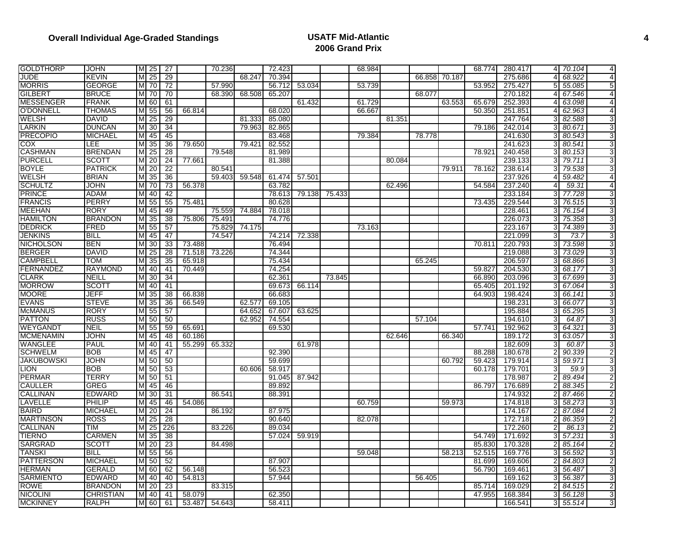| <b>GOLDTHORP</b>  | JOHN             |   | M 25            | 27              |        | 70.236 |        | 72.423 |        |               | 68.984 |        |        |               | 68.774 | 280.417 | 41             | 70.104 | 4              |
|-------------------|------------------|---|-----------------|-----------------|--------|--------|--------|--------|--------|---------------|--------|--------|--------|---------------|--------|---------|----------------|--------|----------------|
| <b>JUDE</b>       | KEVIN            | М | 25              | $\overline{29}$ |        |        | 68.247 | 70.394 |        |               |        |        |        | 66.858 70.187 |        | 275.686 | Δ              | 68.922 | 4              |
| <b>MORRIS</b>     | GEORGE           | M | 70              | 72              |        | 57.990 |        | 56.712 | 53.034 |               | 53.739 |        |        |               | 53.952 | 275.427 | 51             | 55.085 | 5              |
| <b>GILBERT</b>    | <b>BRUCE</b>     | Μ | 70              | 70              |        | 68.390 | 68.508 | 65.207 |        |               |        |        | 68.077 |               |        | 270.182 |                | 67.546 | 4              |
| <b>MESSENGER</b>  | <b>FRANK</b>     | М | 60              | 61              |        |        |        |        | 61.432 |               | 61.729 |        |        | 63.553        | 65.679 | 252.393 |                | 63.098 | 4              |
| <b>O'DONNELL</b>  | <b>THOMAS</b>    | M | 55              | 56              | 66.814 |        |        | 68.020 |        |               | 66.667 |        |        |               | 50.350 | 251.851 |                | 62.963 | 4              |
| <b>WELSH</b>      | DAVID            | Μ | 25              | 29              |        |        | 81.333 | 85.080 |        |               |        | 81.351 |        |               |        | 247.764 |                | 82.588 | 3              |
| LARKIN            | <b>DUNCAN</b>    | M | $\overline{30}$ | 34              |        |        | 79.963 | 82.865 |        |               |        |        |        |               | 79.186 | 242.014 |                | 80.671 | 3              |
| <b>PRECOPIO</b>   | <b>MICHAEL</b>   | Μ | 45              | 45              |        |        |        | 83.468 |        |               | 79.384 |        | 78.778 |               |        | 241.630 |                | 80.543 | 3              |
| COX               | LEE              | Μ | $\overline{35}$ | $\overline{36}$ | 79.650 |        | 79.421 | 82.552 |        |               |        |        |        |               |        | 241.623 |                | 80.541 | 3              |
| <b>CASHMAN</b>    | <b>BRENDAN</b>   | M | 25              | 28              |        | 79.548 |        | 81.989 |        |               |        |        |        |               | 78.921 | 240.458 | 3              | 80.153 | 3              |
| <b>PURCELL</b>    | SCOTT            | М | 20              | $\overline{24}$ | 77.661 |        |        | 81.388 |        |               |        | 80.084 |        |               |        | 239.133 | 31             | 79.711 | 3              |
| <b>BOYLE</b>      | <b>PATRICK</b>   | М | $\overline{20}$ | $\overline{22}$ |        | 80.541 |        |        |        |               |        |        |        | 79.911        | 78.162 | 238.614 |                | 79.538 | 3              |
| <b>WELSH</b>      | <b>BRIAN</b>     | M | 35              | 36              |        | 59.403 | 59.548 | 61.474 | 57.501 |               |        |        |        |               |        | 237.926 |                | 59.482 | 4              |
| <b>SCHULTZ</b>    | JOHN             | Μ | 70              | 73              | 56.378 |        |        | 63.782 |        |               |        | 62.496 |        |               | 54.584 | 237.240 | $\overline{4}$ | 59.31  | $\overline{4}$ |
| <b>PRINCE</b>     | ADAM             | М | 40              | 42              |        |        |        | 78.613 |        | 79.138 75.433 |        |        |        |               |        | 233.184 | 31             | 77.728 | 3              |
| <b>FRANCIS</b>    | <b>PERRY</b>     | M | 55              | 55              | 75.481 |        |        | 80.628 |        |               |        |        |        |               | 73.435 | 229.544 | 31             | 76.515 | 3              |
| MEEHAN            | <b>RORY</b>      | M | 45              | 49              |        | 75.559 | 74.884 | 78.018 |        |               |        |        |        |               |        | 228.461 | 31             | 76.154 | 3              |
| <b>HAMILTON</b>   | <b>BRANDON</b>   | M | $\overline{35}$ | $\overline{38}$ | 75.806 | 75.491 |        | 74.776 |        |               |        |        |        |               |        | 226.073 | 31             | 75.358 | 3              |
| <b>DEDRICK</b>    | FRED             | M | 55              | 57              |        | 75.829 | 74.175 |        |        |               | 73.163 |        |        |               |        | 223.167 | 31             | 74.389 | 3              |
| <b>JENKINS</b>    | BILL             | Μ | 45              | 47              |        | 74.547 |        | 74.214 | 72.338 |               |        |        |        |               |        | 221.099 | 3              | 73.7   | 3              |
| <b>NICHOLSON</b>  | <b>BEN</b>       | M | 30              | 33              | 73.488 |        |        | 76.494 |        |               |        |        |        |               | 70.811 | 220.793 | 31             | 73.598 | 3              |
| <b>BERGER</b>     | <b>DAVID</b>     | M | 25              | 28              | 71.518 | 73.226 |        | 74.344 |        |               |        |        |        |               |        | 219.088 |                | 73.029 | 3              |
| <b>CAMPBELL</b>   | TOM              | м | 35              | 35              | 65.918 |        |        | 75.434 |        |               |        |        | 65.245 |               |        | 206.597 |                | 68.866 | 3              |
| <b>FERNANDEZ</b>  | <b>RAYMOND</b>   | M | 40              | 41              | 70.449 |        |        | 74.254 |        |               |        |        |        |               | 59.827 | 204.530 |                | 68.177 | 3              |
| <b>CLARK</b>      | NEILL            | Μ | 30              | 34              |        |        |        | 62.361 |        | 73.845        |        |        |        |               | 66.890 | 203.096 |                | 67.699 | 3              |
| <b>MORROW</b>     | SCOTT            | Μ | 40              | 41              |        |        |        | 69.673 | 66.114 |               |        |        |        |               | 65.405 | 201.192 | 3              | 67.064 | 3              |
| <b>MOORE</b>      | JEFF             | M | 35              | 38              | 66.838 |        |        | 66.683 |        |               |        |        |        |               | 64.903 | 198.424 |                | 66.141 | 3              |
| <b>EVANS</b>      | <b>STEVE</b>     | Μ | 35              | $\overline{36}$ | 66.549 |        | 62.577 | 69.105 |        |               |        |        |        |               |        | 198.231 |                | 66.077 | 3              |
| <b>McMANUS</b>    | <b>RORY</b>      | М | 55              | 57              |        |        | 64.652 | 67.607 | 63.625 |               |        |        |        |               |        | 195.884 |                | 65.295 | 3              |
| <b>PATTON</b>     | <b>RUSS</b>      | M | 50              | 50              |        |        | 62.952 | 74.554 |        |               |        |        | 57.104 |               |        | 194.610 |                | 64.87  | 3              |
| <b>WEYGANDT</b>   | NEIL             | M | 55              | 59              | 65.691 |        |        | 69.530 |        |               |        |        |        |               | 57.741 | 192.962 |                | 64.321 | 3              |
| <b>MCMENAMIN</b>  | JOHN             | М | -45             | 48              | 60.186 |        |        |        |        |               |        | 62.646 |        | 66.340        |        | 189.172 |                | 63.057 | 3              |
| <b>WANGLEE</b>    | PAUL             | Μ | 40              | 41              | 55.299 | 65.332 |        |        | 61.978 |               |        |        |        |               |        | 182.609 |                | 60.87  | 3              |
| <b>SCHWELM</b>    | <b>BOB</b>       | M | 45              | 47              |        |        |        | 92.390 |        |               |        |        |        |               | 88.288 | 180.678 |                | 90.339 | $\overline{2}$ |
| <b>JAKUBOWSKI</b> | JOHN             |   | M 50            | 50              |        |        |        | 59.699 |        |               |        |        |        | 60.792        | 59.423 | 179.914 |                | 59.971 | 3              |
| <b>LION</b>       | <b>BOB</b>       | М | 50              | 53              |        |        | 60.606 | 58.917 |        |               |        |        |        |               | 60.178 | 179.701 |                | 59.9   | 3              |
| <b>PERMAR</b>     | <b>TERRY</b>     | Μ | 50              | 51              |        |        |        | 91.045 | 87.942 |               |        |        |        |               |        | 178.987 |                | 89.494 | $\overline{2}$ |
| <b>CAULLER</b>    | GREG             | М | 45              | 46              |        |        |        | 89.892 |        |               |        |        |        |               | 86.797 | 176.689 |                | 88.345 | 2              |
| <b>CALLINAN</b>   | EDWARD           | М | 30              | 31              |        | 86.541 |        | 88.391 |        |               |        |        |        |               |        | 174.932 |                | 87.466 | 2              |
| LAVELLE           | PHILIP           | Μ | 45              | 46              | 54.086 |        |        |        |        |               | 60.759 |        |        | 59.973        |        | 174.818 |                | 58.273 | 3              |
| <b>BAIRD</b>      | <b>MICHAEL</b>   | Μ | 20              | $\overline{24}$ |        | 86.192 |        | 87.975 |        |               |        |        |        |               |        | 174.167 |                | 87.084 | $\overline{2}$ |
| <b>MARTINSON</b>  | <b>ROSS</b>      | М | 25              | $\overline{28}$ |        |        |        | 90.640 |        |               | 82.078 |        |        |               |        | 172.718 |                | 86.359 | $\overline{2}$ |
| <b>CALLINAN</b>   | TIM              | M | 25              | 226             |        | 83.226 |        | 89.034 |        |               |        |        |        |               |        | 172.260 |                | 86.13  | 2              |
| <b>TIERNO</b>     | <b>CARMEN</b>    | м | 35              | 38              |        |        |        | 57.024 | 59.919 |               |        |        |        |               | 54.749 | 171.692 |                | 57.231 | 3              |
| SARGRAD           | SCOTT            | M | 20              | 23              |        | 84.498 |        |        |        |               |        |        |        |               | 85.830 | 170.328 |                | 85.164 | $\overline{2}$ |
| <b>TANSKI</b>     | <b>BILL</b>      |   | M 55            | 56              |        |        |        |        |        |               | 59.048 |        |        | 58.213        | 52.515 | 169.776 |                | 56.592 | 3              |
| <b>PATTERSON</b>  | <b>MICHAEL</b>   | M | 50              | 52              |        |        |        | 87.907 |        |               |        |        |        |               | 81.699 | 169.606 |                | 84.803 | $\overline{2}$ |
| <b>HERMAN</b>     | GERALD           | M | 60              | 62              | 56.148 |        |        | 56.523 |        |               |        |        |        |               | 56.790 | 169.461 | 3              | 56.487 | 3              |
| <b>SARMIENTO</b>  | <b>EDWARD</b>    | Μ | 40              | 40              | 54.813 |        |        | 57.944 |        |               |        |        | 56.405 |               |        | 169.162 | 31             | 56.387 | 3              |
| <b>ROWE</b>       | <b>BRANDON</b>   | М | $\overline{20}$ | 23              |        | 83.315 |        |        |        |               |        |        |        |               | 85.714 | 169.029 |                | 84.515 | 2              |
| <b>NICOLINI</b>   | <b>CHRISTIAN</b> | M | 40              | 41              | 58.079 |        |        | 62.350 |        |               |        |        |        |               | 47.955 | 168.384 | 31             | 56.128 | 3              |
| <b>MCKINNEY</b>   | RALPH            |   | M 60            | 61              | 53.487 | 54.643 |        | 58.411 |        |               |        |        |        |               |        | 166.541 | 31             | 55.514 | 3              |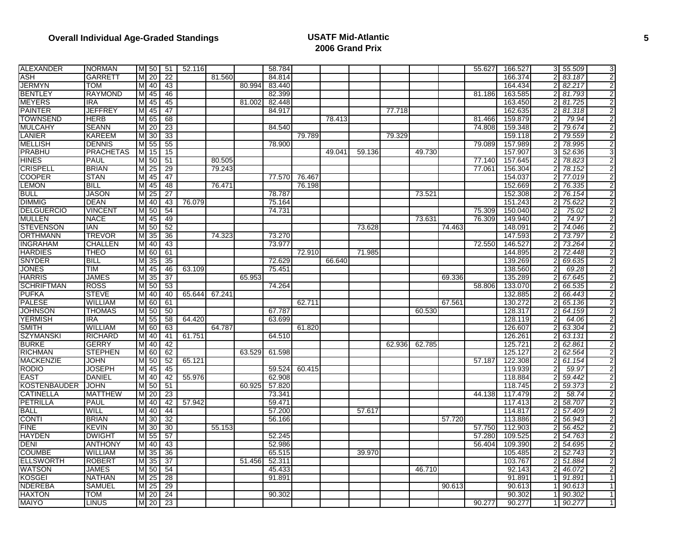| <b>ALEXANDER</b>    | <b>NORMAN</b>    |   |                 | M 50 51         | 52.116 |        |        | 58.784 |        |        |        |        |        |        | 55.627 | 166.527 | 3 55.509 | 3              |
|---------------------|------------------|---|-----------------|-----------------|--------|--------|--------|--------|--------|--------|--------|--------|--------|--------|--------|---------|----------|----------------|
| <b>ASH</b>          | <b>GARRETT</b>   | M | 20              | 22              |        | 81.560 |        | 84.814 |        |        |        |        |        |        |        | 166.374 | 83.187   | 2              |
| <b>JERMYN</b>       | <b>TOM</b>       | M | 40              | 43              |        |        | 80.994 | 83.440 |        |        |        |        |        |        |        | 164.434 | 82.217   | 2              |
| <b>BENTLEY</b>      | <b>RAYMOND</b>   | M | 45              | 46              |        |        |        | 82.399 |        |        |        |        |        |        | 81.186 | 163.585 | 81.793   | $\overline{2}$ |
| <b>MEYERS</b>       | <b>IRA</b>       | M | 45              | 45              |        |        | 81.002 | 82.448 |        |        |        |        |        |        |        | 163.450 | 81.725   | $\overline{2}$ |
| <b>PAINTER</b>      | <b>JEFFREY</b>   | M | 45              | 47              |        |        |        | 84.917 |        |        |        | 77.718 |        |        |        | 162.635 | 81.318   | $\overline{2}$ |
| <b>TOWNSEND</b>     | <b>HERB</b>      | M | 65              | 68              |        |        |        |        |        | 78.413 |        |        |        |        | 81.466 | 159.879 | 79.94    | $\overline{2}$ |
| <b>MULCAHY</b>      | <b>SEANN</b>     | M | 20              | 23              |        |        |        | 84.540 |        |        |        |        |        |        | 74.808 | 159.348 | 79.674   | 2              |
| LANIER              | <b>KAREEM</b>    |   | M 30            | 33              |        |        |        |        | 79.789 |        |        | 79.329 |        |        |        | 159.118 | 79.559   | $\overline{2}$ |
| <b>MELLISH</b>      | <b>DENNIS</b>    | M | 55              | 55              |        |        |        | 78.900 |        |        |        |        |        |        | 79.089 | 157.989 | 78.995   | 2              |
| PRABHU              | <b>PRACHETAS</b> | M | 15              | 15              |        |        |        |        |        | 49.041 | 59.136 |        | 49.730 |        |        | 157.907 | 52.636   | 3              |
| <b>HINES</b>        | <b>PAUL</b>      |   | M 50            | 51              |        | 80.505 |        |        |        |        |        |        |        |        | 77.140 | 157.645 | 78.823   | 2              |
| <b>CRISPELL</b>     | <b>BRIAN</b>     | M | $\overline{25}$ | 29              |        | 79.243 |        |        |        |        |        |        |        |        | 77.061 | 156.304 | 78.152   | 2              |
| <b>COOPER</b>       | <b>STAN</b>      | M | 45              | 47              |        |        |        | 77.570 | 76.467 |        |        |        |        |        |        | 154.037 | 77.019   | $\overline{2}$ |
| <b>LEMON</b>        | <b>BILL</b>      | M | 45              | 48              |        | 76.471 |        |        | 76.198 |        |        |        |        |        |        | 152.669 | 76.335   | $\overline{2}$ |
| <b>BULL</b>         | <b>JASON</b>     | M | 25              | 27              |        |        |        | 78.787 |        |        |        |        | 73.521 |        |        | 152.308 | 76.154   | 2              |
| <b>DIMMIG</b>       | <b>DEAN</b>      | M | 40              | 43              | 76.079 |        |        | 75.164 |        |        |        |        |        |        |        | 151.243 | 75.622   | 2              |
| <b>DELGUERCIO</b>   | <b>VINCENT</b>   |   | M 50            | 54              |        |        |        | 74.731 |        |        |        |        |        |        | 75.309 | 150.040 | 75.02    | 2              |
| <b>MULLEN</b>       | <b>NACE</b>      | M | 45              | 49              |        |        |        |        |        |        |        |        | 73.631 |        | 76.309 | 149.940 | 74.97    | 2              |
| <b>STEVENSON</b>    | <b>IAN</b>       |   | M 50            | 52              |        |        |        |        |        |        | 73.628 |        |        | 74.463 |        | 148.091 | 74.046   | $\overline{2}$ |
| <b>ORTHMANN</b>     | <b>TREVOR</b>    | M | 35              | $\overline{36}$ |        | 74.323 |        | 73.270 |        |        |        |        |        |        |        | 147.593 | 73.797   | $\overline{2}$ |
| <b>INGRAHAM</b>     | <b>CHALLEN</b>   | M | 40              | 43              |        |        |        | 73.977 |        |        |        |        |        |        | 72.550 | 146.527 | 73.264   | $\overline{2}$ |
| <b>HARDIES</b>      | <b>THEO</b>      | M | 60              | 61              |        |        |        |        | 72.910 |        | 71.985 |        |        |        |        | 144.895 | 72.448   | $\overline{2}$ |
| <b>SNYDER</b>       | <b>BILL</b>      | M | 35              | 35              |        |        |        | 72.629 |        | 66.640 |        |        |        |        |        | 139.269 | 69.635   | $\overline{2}$ |
| <b>JONES</b>        | <b>TIM</b>       | M | 45              | 46              | 63.109 |        |        | 75.451 |        |        |        |        |        |        |        | 138.560 | 69.28    | 2              |
| <b>HARRIS</b>       | <b>JAMES</b>     | M | 35              | $\overline{37}$ |        |        | 65.953 |        |        |        |        |        |        | 69.336 |        | 135.289 | 67.645   | $\overline{2}$ |
| <b>SCHRIFTMAN</b>   | <b>ROSS</b>      | M | 50              | 53              |        |        |        | 74.264 |        |        |        |        |        |        | 58.806 | 133.070 | 66.535   | $\overline{2}$ |
| <b>PUFKA</b>        | <b>STEVE</b>     | M | 40              | 40              | 65.644 | 67.241 |        |        |        |        |        |        |        |        |        | 132.885 | 66.443   | $\overline{c}$ |
| <b>PALESE</b>       | <b>WILLIAM</b>   |   | M 60            | 61              |        |        |        |        | 62.711 |        |        |        |        | 67.561 |        | 130.272 | 65.136   | 2              |
| <b>JOHNSON</b>      | THOMAS           |   | M 50            | 50              |        |        |        | 67.787 |        |        |        |        | 60.530 |        |        | 128.317 | 64.159   | 2              |
| <b>YERMISH</b>      | <b>IRA</b>       |   | M 55            | 58              | 64.420 |        |        | 63.699 |        |        |        |        |        |        |        | 128.119 | 64.06    | $\overline{2}$ |
| <b>SMITH</b>        | <b>WILLIAM</b>   | M | 60              | 63              |        | 64.787 |        |        | 61.820 |        |        |        |        |        |        | 126.607 | 63.304   | 2              |
| <b>SZYMANSKI</b>    | RICHARD          | M | 40              | 41              | 61.751 |        |        | 64.510 |        |        |        |        |        |        |        | 126.261 | 63.131   | $\overline{2}$ |
| <b>BURKE</b>        | <b>GERRY</b>     | M | 40              | 42              |        |        |        |        |        |        |        | 62.936 | 62.785 |        |        | 125.721 | 62.861   | $\overline{2}$ |
| <b>RICHMAN</b>      | <b>STEPHEN</b>   | M | 60              | 62              |        |        | 63.529 | 61.598 |        |        |        |        |        |        |        | 125.127 | 62.564   | $\overline{2}$ |
| <b>MACKENZIE</b>    | <b>JOHN</b>      |   | M 50            | 52              | 65.121 |        |        |        |        |        |        |        |        |        | 57.187 | 122.308 | 61.154   | 2              |
| <b>RODIO</b>        | <b>JOSEPH</b>    | M | 45              | 45              |        |        |        | 59.524 | 60.415 |        |        |        |        |        |        | 119.939 | 59.97    | $\overline{2}$ |
| <b>EAST</b>         | <b>DANIEL</b>    | M | 40              | 42              | 55.976 |        |        | 62.908 |        |        |        |        |        |        |        | 118.884 | 59.442   | $\overline{2}$ |
| <b>KOSTENBAUDER</b> | <b>JOHN</b>      | M | 50              | 51              |        |        | 60.925 | 57.820 |        |        |        |        |        |        |        | 118.745 | 59.373   | 2              |
| <b>CATINELLA</b>    | <b>MATTHEW</b>   | M | 20              | 23              |        |        |        | 73.341 |        |        |        |        |        |        | 44.138 | 117.479 | 58.74    | $\overline{2}$ |
| PETRILLA            | <b>PAUL</b>      | M | 40              | 42              | 57.942 |        |        | 59.471 |        |        |        |        |        |        |        | 117.413 | 58.707   | 2              |
| <b>BALL</b>         | <b>WILL</b>      | M | 40              | 44              |        |        |        | 57.200 |        |        | 57.617 |        |        |        |        | 114.817 | 57.409   | 2              |
| <b>CONTI</b>        | <b>BRIAN</b>     | M | 30              | 32              |        |        |        | 56.166 |        |        |        |        |        | 57.720 |        | 113.886 | 56.943   | $\overline{2}$ |
| <b>FINE</b>         | <b>KEVIN</b>     | M | 30              | 30              |        | 55.153 |        |        |        |        |        |        |        |        | 57.750 | 112.903 | 56.452   | $\overline{2}$ |
| <b>HAYDEN</b>       | <b>DWIGHT</b>    | M | 55              | 57              |        |        |        | 52.245 |        |        |        |        |        |        | 57.280 | 109.525 | 54.763   | $\overline{2}$ |
| <b>DENI</b>         | <b>ANTHONY</b>   | M | 40              | 43              |        |        |        | 52.986 |        |        |        |        |        |        | 56.404 | 109.390 | 54.695   | 2              |
| <b>COUMBE</b>       | <b>WILLIAM</b>   | M | 35              | 36              |        |        |        | 65.515 |        |        | 39.970 |        |        |        |        | 105.485 | 52.743   | 2              |
| <b>ELLSWORTH</b>    | <b>ROBERT</b>    |   | M 35            | $\overline{37}$ |        |        | 51.456 | 52.311 |        |        |        |        |        |        |        | 103.767 | 51.884   | $\overline{2}$ |
| <b>WATSON</b>       | <b>JAMES</b>     | M | 50              | 54              |        |        |        | 45.433 |        |        |        |        | 46.710 |        |        | 92.143  | 46.072   | $\overline{2}$ |
| <b>KOSGEI</b>       | <b>NATHAN</b>    | M | 25              | 28              |        |        |        | 91.891 |        |        |        |        |        |        |        | 91.891  | 91.891   | $\mathbf{1}$   |
| <b>NDEREBA</b>      | SAMUEL           | M | 25              | $\overline{29}$ |        |        |        |        |        |        |        |        |        | 90.613 |        | 90.613  | 90.613   | 1              |
| <b>HAXTON</b>       | <b>TOM</b>       | M | 20              | 24              |        |        |        | 90.302 |        |        |        |        |        |        |        | 90.302  | 90.302   | $\mathbf{1}$   |
| <b>MAIYO</b>        | LINUS            |   |                 | M 20 23         |        |        |        |        |        |        |        |        |        |        | 90.277 | 90.277  | 90.277   | $\mathbf{1}$   |
|                     |                  |   |                 |                 |        |        |        |        |        |        |        |        |        |        |        |         |          |                |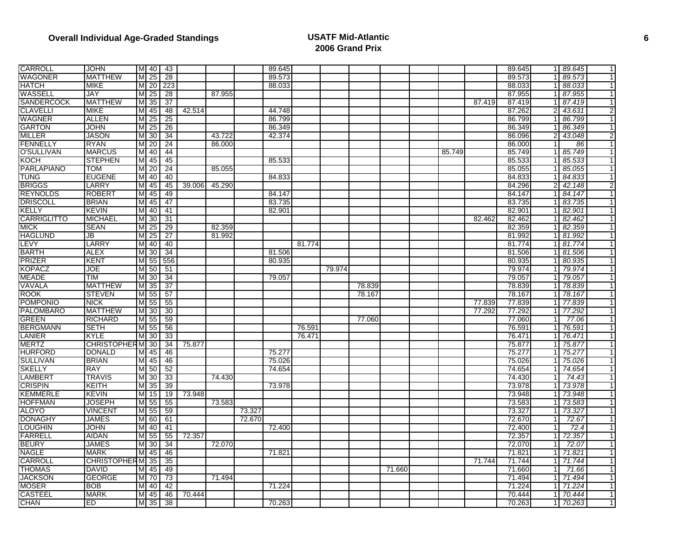| <b>CARROLL</b>                 | <b>JOHN</b>              |        |                         | M 40 43         |        |        |        | 89.645 |        |        |        |        |        |        | 89.645           |                | 89.645           | $\mathbf{1}$                 |
|--------------------------------|--------------------------|--------|-------------------------|-----------------|--------|--------|--------|--------|--------|--------|--------|--------|--------|--------|------------------|----------------|------------------|------------------------------|
| <b>WAGONER</b>                 | <b>MATTHEW</b>           | M      | $\overline{25}$         | $\overline{28}$ |        |        |        | 89.573 |        |        |        |        |        |        | 89.573           |                | 89.573           | 1                            |
| <b>HATCH</b>                   | <b>MIKE</b>              | M      | 20                      | 223             |        |        |        | 88.033 |        |        |        |        |        |        | 88.033           |                | 88.033           | $\mathbf 1$                  |
| WASSELL                        | <b>JAY</b>               | M      | 25                      | 28              |        | 87.955 |        |        |        |        |        |        |        |        | 87.955           |                | 87.955           | $\mathbf 1$                  |
| <b>SANDERCOCK</b>              | <b>MATTHEW</b>           | М      | $\overline{35}$         | $\overline{37}$ |        |        |        |        |        |        |        |        |        | 87.419 | 87.419           |                | 87.419           | $\mathbf{1}$                 |
| <b>CLAVELLI</b>                | <b>MIKE</b>              | M      | 45                      | 48              | 42.514 |        |        | 44.748 |        |        |        |        |        |        | 87.262           |                | 43.631           | 2                            |
| <b>WAGNER</b>                  | <b>ALLEN</b>             | M      | 25                      | 25              |        |        |        | 86.799 |        |        |        |        |        |        | 86.799           |                | 86.799           | $\mathbf{1}$                 |
| <b>GARTON</b>                  | <b>JOHN</b>              | M      | $\overline{25}$         | $\overline{26}$ |        |        |        | 86.349 |        |        |        |        |        |        | 86.349           |                | 86.349           | -1                           |
| <b>MILLER</b>                  | <b>JASON</b>             |        | M 30                    | 34              |        | 43.722 |        | 42.374 |        |        |        |        |        |        | 86.096           |                | 43.048           | $\overline{2}$               |
| <b>FENNELLY</b>                | <b>RYAN</b>              | M      | 20                      | $\overline{24}$ |        | 86.000 |        |        |        |        |        |        |        |        | 86.000           |                | 86               | $\mathbf{1}$                 |
| <b>O'SULLIVAN</b>              | <b>MARCUS</b>            | M      | 40                      | 44              |        |        |        |        |        |        |        |        | 85.749 |        | 85.749           |                | 85.749           | $\overline{1}$               |
| <b>KOCH</b>                    | <b>STEPHEN</b>           | M      | 45                      | 45              |        |        |        | 85.533 |        |        |        |        |        |        | 85.533           |                | 85.533           | $\mathbf{1}$                 |
| <b>PARLAPIANO</b>              | TOM                      | M      | 20                      | $\overline{24}$ |        | 85.055 |        |        |        |        |        |        |        |        | 85.055           |                | 85.055           | $\mathbf{1}$                 |
| <b>TUNG</b>                    | <b>EUGENE</b>            | M      | 40                      | 40              |        |        |        | 84.833 |        |        |        |        |        |        | 84.833           |                | 84.833           | $\mathbf{1}$                 |
| <b>BRIGGS</b>                  | LARRY                    | M      | 45                      | 45              | 39.006 | 45.290 |        |        |        |        |        |        |        |        | 84.296           |                | 42.148           | $\overline{2}$               |
| <b>REYNOLDS</b>                | <b>ROBERT</b>            | M      | 45                      | 49              |        |        |        | 84.147 |        |        |        |        |        |        | 84.147           |                | 84.147           | $\overline{1}$               |
| <b>DRISCOLL</b>                | <b>BRIAN</b>             | M      | 45                      | 47              |        |        |        | 83.735 |        |        |        |        |        |        | 83.735           |                | 83.735           | $\mathbf{1}$                 |
| KELLY                          | <b>KEVIN</b>             | M      | 40                      | 41              |        |        |        | 82.901 |        |        |        |        |        |        | 82.901           |                | 82.901           | $\mathbf{1}$                 |
| <b>CARRIGLITTO</b>             | <b>MICHAEL</b>           | M      | 30                      | 31              |        |        |        |        |        |        |        |        |        | 82.462 | 82.462           |                | 82.462           | 1                            |
| <b>MICK</b>                    | <b>SEAN</b>              | M      | 25                      | 29              |        | 82.359 |        |        |        |        |        |        |        |        | 82.359           |                | 82.359           | $\mathbf{1}$                 |
| <b>HAGLUND</b>                 | JB                       | M      | 25                      | $\overline{27}$ |        | 81.992 |        |        |        |        |        |        |        |        | 81.992           |                | 81.992           | $\mathbf{1}$                 |
| LEVY                           | LARRY                    | M      | 40                      | 40              |        |        |        |        | 81.774 |        |        |        |        |        | 81.774           |                | 1 81.774         | $\mathbf{1}$                 |
| <b>BARTH</b>                   | <b>ALEX</b>              | M      | 30                      | 34              |        |        |        | 81.506 |        |        |        |        |        |        | 81.506           |                | 81.506           | $\overline{1}$               |
| <b>PRIZER</b>                  | <b>KENT</b>              | M      | 55                      | 556             |        |        |        | 80.935 |        |        |        |        |        |        | 80.935           |                | 80.935           | $\mathbf{1}$                 |
| <b>KOPACZ</b>                  | JOE                      | M      | 50                      | 51              |        |        |        |        |        | 79.974 |        |        |        |        | 79.974           |                | 79.974           | $\mathbf{1}$                 |
| <b>MEADE</b>                   | TIM                      | M      | 30                      | 34              |        |        |        | 79.057 |        |        |        |        |        |        | 79.057           |                | 79.057           | $\mathbf{1}$                 |
| VAVALA                         | <b>MATTHEW</b>           | M      | $\overline{35}$         | 37              |        |        |        |        |        |        | 78.839 |        |        |        | 78.839           |                | 78.839           | $\mathbf 1$                  |
| <b>ROOK</b>                    | <b>STEVEN</b>            | M      | 55                      | 57              |        |        |        |        |        |        | 78.167 |        |        |        | 78.167           |                | 78.167           | $\mathbf{1}$                 |
| <b>POMPONIO</b>                | <b>NICK</b>              | M      | 55                      | 55              |        |        |        |        |        |        |        |        |        | 77.839 | 77.839           |                | 77.839           | $\mathbf 1$                  |
| <b>PALOMBARO</b>               | <b>MATTHEW</b>           | M      | 30                      | 30              |        |        |        |        |        |        |        |        |        | 77.292 | 77.292           |                | 77.292           | $\mathbf{1}$                 |
| <b>GREEN</b>                   | <b>RICHARD</b>           |        | M 55                    | 59              |        |        |        |        |        |        | 77.060 |        |        |        | 77.060           |                | 77.06            | $\mathbf{1}$                 |
| <b>BERGMANN</b>                | <b>SETH</b>              | M      | 55                      | 56              |        |        |        |        | 76.591 |        |        |        |        |        | 76.591           |                | 76.591           | $\mathbf{1}$                 |
| LANIER                         | <b>KYLE</b>              | M      | 30                      | 33              |        |        |        |        | 76.471 |        |        |        |        |        | 76.471           |                | 76.471           | $\mathbf{1}$                 |
| <b>MERTZ</b>                   | <b>CHRISTOPHER MI</b>    |        | 30                      | 34              | 75.877 |        |        |        |        |        |        |        |        |        | 75.877           |                | 75.877           | $\mathbf 1$                  |
| <b>HURFORD</b>                 | <b>DONALD</b>            | M      | 45                      | 46              |        |        |        | 75.277 |        |        |        |        |        |        | 75.277           |                | 75.277           | $\mathbf{1}$                 |
| <b>SULLIVAN</b>                | <b>BRIAN</b>             |        | M 45                    | 46              |        |        |        | 75.026 |        |        |        |        |        |        | 75.026           |                | 75.026           | $\mathbf{1}$                 |
| <b>SKELLY</b>                  | <b>RAY</b>               |        | M 50                    | 52              |        |        |        | 74.654 |        |        |        |        |        |        | 74.654           |                | 74.654           | $\mathbf{1}$                 |
| <b>LAMBERT</b>                 | <b>TRAVIS</b>            | M      | 30                      | 33              |        | 74.430 |        |        |        |        |        |        |        |        | 74.430           |                | 74.43            | $\mathbf{1}$                 |
| <b>CRISPIN</b>                 | KEITH                    | M      | 35                      | 39              |        |        |        | 73.978 |        |        |        |        |        |        | 73.978           |                | 73.978           | $\mathbf{1}$                 |
| <b>KEMMERLE</b>                | <b>KEVIN</b>             | M      | 15                      | 19              | 73.948 | 73.583 |        |        |        |        |        |        |        |        | 73.948           |                | 73.948           | $\mathbf{1}$<br>$\mathbf{1}$ |
| <b>HOFFMAN</b><br><b>ALOYO</b> | JOSEPH<br><b>VINCENT</b> | M      | 55<br>$\overline{M}$ 55 | 55<br>59        |        |        | 73.327 |        |        |        |        |        |        |        | 73.583<br>73.327 |                | 73.583<br>73.327 | $\mathbf{1}$                 |
| <b>DONAGHY</b>                 | <b>JAMES</b>             |        | M 60                    | 61              |        |        | 72.670 |        |        |        |        |        |        |        | 72.670           |                | 72.67            | $\overline{1}$               |
| <b>LOUGHIN</b>                 | <b>JOHN</b>              |        |                         | 41              |        |        |        | 72.400 |        |        |        |        |        |        | 72.400           |                | 72.4             | $\mathbf{1}$                 |
| <b>FARRELL</b>                 |                          | M      | 40                      |                 |        |        |        |        |        |        |        |        |        |        |                  | 11             | 72.357           | $\mathbf{1}$                 |
| <b>BEURY</b>                   | <b>AIDAN</b>             | M<br>M | 55                      | 55              | 72.357 | 72.070 |        |        |        |        |        |        |        |        | 72.357<br>72.070 |                | 72.07            | $\mathbf 1$                  |
| <b>NAGLE</b>                   | JAMES<br><b>MARK</b>     | M      | 30<br>45                | 34<br>46        |        |        |        | 71.821 |        |        |        |        |        |        | 71.82            |                | 71.821           | $\mathbf{1}$                 |
| CARROLL                        | CHRISTOPHER M 35         |        |                         | 35              |        |        |        |        |        |        |        |        |        | 71.744 | 71.744           |                | 71.744           | $\overline{1}$               |
| <b>THOMAS</b>                  | <b>DAVID</b>             | M      | 45                      | 49              |        |        |        |        |        |        |        | 71.660 |        |        | 71.660           | 1 <sup>1</sup> | 71.66            | $\mathbf{1}$                 |
| <b>JACKSON</b>                 | <b>GEORGE</b>            | M      | 70                      | 73              |        | 71.494 |        |        |        |        |        |        |        |        | 71.494           |                | 71.494           | $\mathbf{1}$                 |
| <b>MOSER</b>                   | <b>BOB</b>               | M      | 40                      | 42              |        |        |        | 71.224 |        |        |        |        |        |        | 71.224           |                | 71.224           | $\mathbf 1$                  |
| <b>CASTEEL</b>                 | <b>MARK</b>              | M      | 45                      | 46              | 70.444 |        |        |        |        |        |        |        |        |        | 70.444           |                | 70.444           | $\mathbf{1}$                 |
| <b>CHAN</b>                    |                          |        |                         |                 |        |        |        | 70.263 |        |        |        |        |        |        | 70.263           |                |                  |                              |
|                                | ED                       |        |                         | M 35 38         |        |        |        |        |        |        |        |        |        |        |                  |                | 1 70.263         | $\mathbf{1}$                 |